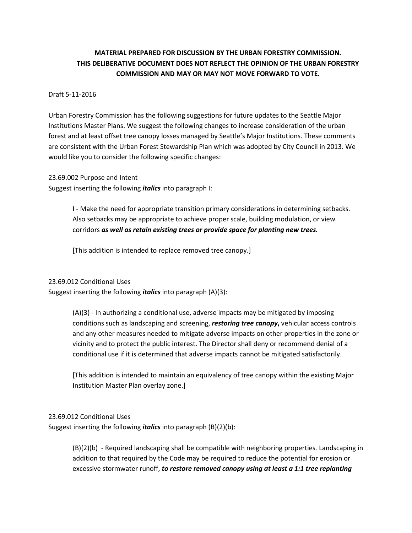# **MATERIAL PREPARED FOR DISCUSSION BY THE URBAN FORESTRY COMMISSION. THIS DELIBERATIVE DOCUMENT DOES NOT REFLECT THE OPINION OF THE URBAN FORESTRY COMMISSION AND MAY OR MAY NOT MOVE FORWARD TO VOTE.**

### Draft 5-11-2016

Urban Forestry Commission has the following suggestions for future updates to the Seattle Major Institutions Master Plans. We suggest the following changes to increase consideration of the urban forest and at least offset tree canopy losses managed by Seattle's Major Institutions. These comments are consistent with the Urban Forest Stewardship Plan which was adopted by City Council in 2013. We would like you to consider the following specific changes:

23.69.002 Purpose and Intent

Suggest inserting the following *italics* into paragraph I:

I - Make the need for appropriate transition primary considerations in determining setbacks. Also setbacks may be appropriate to achieve proper scale, building modulation, or view corridors *as well as retain existing trees or provide space for planting new trees.*

[This addition is intended to replace removed tree canopy.]

#### 23.69.012 Conditional Uses

Suggest inserting the following *italics* into paragraph (A)(3):

(A)(3) - In authorizing a conditional use, adverse impacts may be mitigated by imposing conditions such as landscaping and screening, *restoring tree canopy***,** vehicular access controls and any other measures needed to mitigate adverse impacts on other properties in the zone or vicinity and to protect the public interest. The Director shall deny or recommend denial of a conditional use if it is determined that adverse impacts cannot be mitigated satisfactorily.

[This addition is intended to maintain an equivalency of tree canopy within the existing Major Institution Master Plan overlay zone.]

### 23.69.012 Conditional Uses

Suggest inserting the following *italics* into paragraph (B)(2)(b):

(B)(2)(b) - Required landscaping shall be compatible with neighboring properties. Landscaping in addition to that required by the Code may be required to reduce the potential for erosion or excessive stormwater runoff, *to restore removed canopy using at least a 1:1 tree replanting*